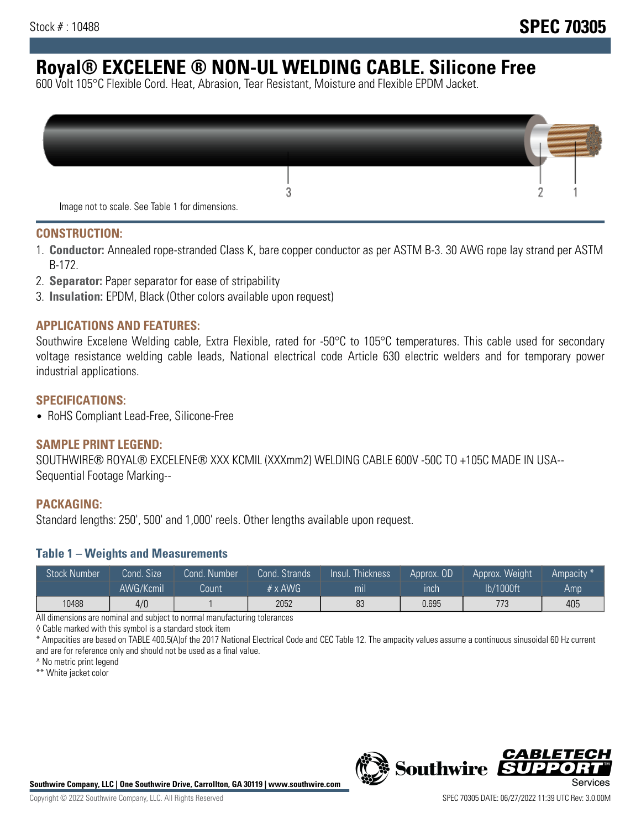# **Royal® EXCELENE ® NON-UL WELDING CABLE. Silicone Free**

600 Volt 105°C Flexible Cord. Heat, Abrasion, Tear Resistant, Moisture and Flexible EPDM Jacket.

| Image not to scale. See Table 1 for dimensions. |  |
|-------------------------------------------------|--|

#### **CONSTRUCTION:**

- 1. **Conductor:** Annealed rope-stranded Class K, bare copper conductor as per ASTM B-3. 30 AWG rope lay strand per ASTM B-172.
- 2. **Separator:** Paper separator for ease of stripability
- 3. **Insulation:** EPDM, Black (Other colors available upon request)

#### **APPLICATIONS AND FEATURES:**

Southwire Excelene Welding cable, Extra Flexible, rated for -50°C to 105°C temperatures. This cable used for secondary voltage resistance welding cable leads, National electrical code Article 630 electric welders and for temporary power industrial applications.

#### **SPECIFICATIONS:**

• RoHS Compliant Lead-Free, Silicone-Free

#### **SAMPLE PRINT LEGEND:**

SOUTHWIRE® ROYAL® EXCELENE® XXX KCMIL (XXXmm2) WELDING CABLE 600V -50C TO +105C MADE IN USA-- Sequential Footage Marking--

#### **PACKAGING:**

Standard lengths: 250', 500' and 1,000' reels. Other lengths available upon request.

#### **Table 1 – Weights and Measurements**

| <b>Stock Number</b> | Cond. Size' | Cond. Number | Cond. Strands   | Insul. Thickness | Approx. OD | Approx. Weight | Ampacity * |
|---------------------|-------------|--------------|-----------------|------------------|------------|----------------|------------|
|                     | AWG/Kcmil   | Count        | $# \times$ AWG. | m <sub>l</sub>   | inch       | lb/1000ft      | Amp        |
| 10488               | 4/0         |              | 2052            | 83               | 0.695      | 773            | 405        |

All dimensions are nominal and subject to normal manufacturing tolerances

◊ Cable marked with this symbol is a standard stock item

\* Ampacities are based on TABLE 400.5(A)of the 2017 National Electrical Code and CEC Table 12. The ampacity values assume a continuous sinusoidal 60 Hz current and are for reference only and should not be used as a final value.

^ No metric print legend

\*\* White jacket color



*CABLE*